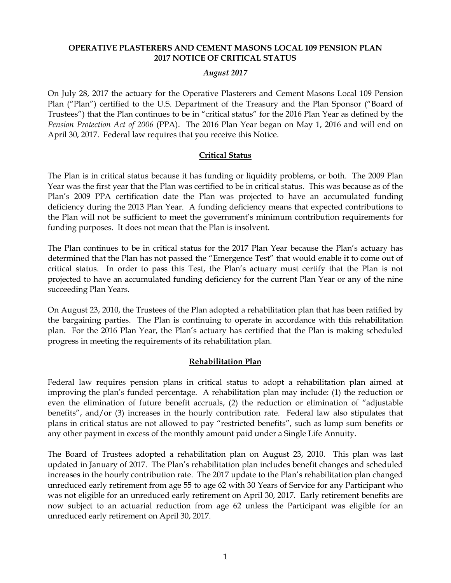#### **OPERATIVE PLASTERERS AND CEMENT MASONS LOCAL 109 PENSION PLAN 2017 NOTICE OF CRITICAL STATUS**

#### *August 2017*

On July 28, 2017 the actuary for the Operative Plasterers and Cement Masons Local 109 Pension Plan ("Plan") certified to the U.S. Department of the Treasury and the Plan Sponsor ("Board of Trustees") that the Plan continues to be in "critical status" for the 2016 Plan Year as defined by the *Pension Protection Act of 2006* (PPA). The 2016 Plan Year began on May 1, 2016 and will end on April 30, 2017. Federal law requires that you receive this Notice.

# **Critical Status**

The Plan is in critical status because it has funding or liquidity problems, or both. The 2009 Plan Year was the first year that the Plan was certified to be in critical status. This was because as of the Plan's 2009 PPA certification date the Plan was projected to have an accumulated funding deficiency during the 2013 Plan Year. A funding deficiency means that expected contributions to the Plan will not be sufficient to meet the government's minimum contribution requirements for funding purposes. It does not mean that the Plan is insolvent.

The Plan continues to be in critical status for the 2017 Plan Year because the Plan's actuary has determined that the Plan has not passed the "Emergence Test" that would enable it to come out of critical status. In order to pass this Test, the Plan's actuary must certify that the Plan is not projected to have an accumulated funding deficiency for the current Plan Year or any of the nine succeeding Plan Years.

On August 23, 2010, the Trustees of the Plan adopted a rehabilitation plan that has been ratified by the bargaining parties. The Plan is continuing to operate in accordance with this rehabilitation plan. For the 2016 Plan Year, the Plan's actuary has certified that the Plan is making scheduled progress in meeting the requirements of its rehabilitation plan.

# **Rehabilitation Plan**

Federal law requires pension plans in critical status to adopt a rehabilitation plan aimed at improving the plan's funded percentage. A rehabilitation plan may include: (1) the reduction or even the elimination of future benefit accruals, (2) the reduction or elimination of "adjustable benefits", and/or (3) increases in the hourly contribution rate. Federal law also stipulates that plans in critical status are not allowed to pay "restricted benefits", such as lump sum benefits or any other payment in excess of the monthly amount paid under a Single Life Annuity.

The Board of Trustees adopted a rehabilitation plan on August 23, 2010. This plan was last updated in January of 2017. The Plan's rehabilitation plan includes benefit changes and scheduled increases in the hourly contribution rate. The 2017 update to the Plan's rehabilitation plan changed unreduced early retirement from age 55 to age 62 with 30 Years of Service for any Participant who was not eligible for an unreduced early retirement on April 30, 2017. Early retirement benefits are now subject to an actuarial reduction from age 62 unless the Participant was eligible for an unreduced early retirement on April 30, 2017.